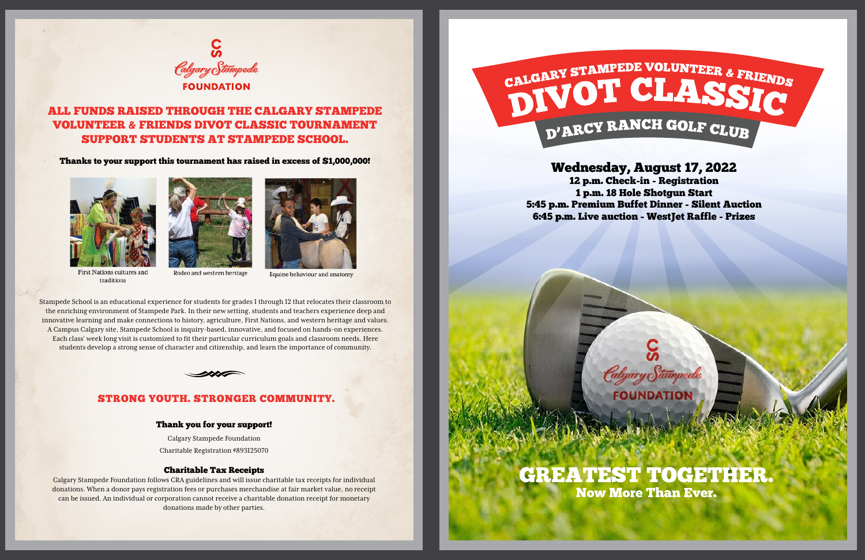### STRONG YOUTH. STRONGER COMMUNITY.

#### Thank you for your support!

Calgary Stampede Foundation Charitable Registration #893125070

#### Charitable Tax Receipts

Calgary Stampede Foundation follows CRA guidelines and will issue charitable tax receipts for individual donations. When a donor pays registration fees or purchases merchandise at fair market value, no receipt can be issued. An individual or corporation cannot receive a charitable donation receipt for monetary donations made by other parties.



# Wednesday, August 17, 2022

12 p.m. Check-in - Registration 1 p.m. 18 Hole Shotgun Start 5:45 p.m. Premium Buffet Dinner - Silent Auction 6:45 p.m. Live auction - WestJet Raffle - Prizes

Calgary Stampede



# CALGARY STAMPEDE VOLUNTEER & FRIENDS D'ARCY RANCH GOLF CLUB



Stampede School is an educational experience for students for grades 1 through 12 that relocates their classroom to the enriching environment of Stampede Park. In their new setting, students and teachers experience deep and innovative learning and make connections to history, agriculture, First Nations, and western heritage and values. A Campus Calgary site, Stampede School is inquiry-based, innovative, and focused on hands-on experiences. Each class' week long visit is customized to fit their particular curriculum goals and classroom needs. Here students develop a strong sense of character and citizenship, and learn the importance of community.





# ALL FUNDS RAISED THROUGH THE CALGARY STAMPEDE VOLUNTEER & FRIENDS DIVOT CLASSIC TOURNAMENT SUPPORT STUDENTS AT STAMPEDE SCHOOL.

Thanks to your support this tournament has raised in excess of \$1,000,000!













Equine behaviour and anatomy